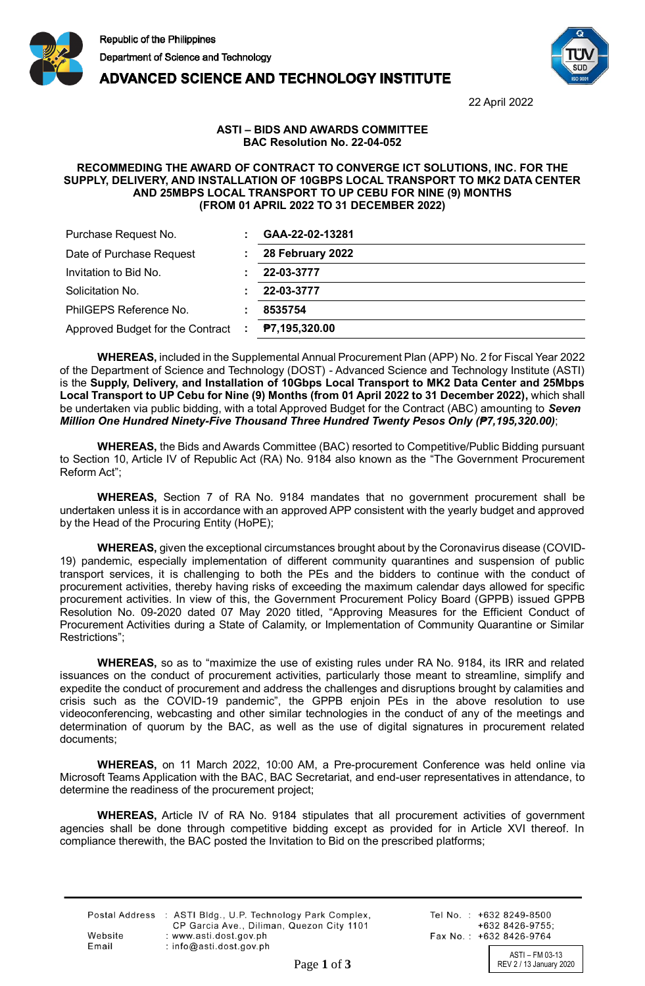

**ADVANCED SCIENCE AND TECHNOLOGY INSTITUTE** 



22 April 2022

## **ASTI – BIDS AND AWARDS COMMITTEE BAC Resolution No. 22-04-052**

## **RECOMMEDING THE AWARD OF CONTRACT TO CONVERGE ICT SOLUTIONS, INC. FOR THE SUPPLY, DELIVERY, AND INSTALLATION OF 10GBPS LOCAL TRANSPORT TO MK2 DATA CENTER AND 25MBPS LOCAL TRANSPORT TO UP CEBU FOR NINE (9) MONTHS (FROM 01 APRIL 2022 TO 31 DECEMBER 2022)**

| Purchase Request No.               | GAA-22-02-13281      |
|------------------------------------|----------------------|
| Date of Purchase Request           | 28 February 2022     |
| Invitation to Bid No.              | 22-03-3777           |
| Solicitation No.                   | 22-03-3777           |
| PhilGEPS Reference No.             | 8535754              |
| Approved Budget for the Contract : | <b>P7,195,320.00</b> |

**WHEREAS,** included in the Supplemental Annual Procurement Plan (APP) No. 2 for Fiscal Year 2022 of the Department of Science and Technology (DOST) - Advanced Science and Technology Institute (ASTI) is the **Supply, Delivery, and Installation of 10Gbps Local Transport to MK2 Data Center and 25Mbps Local Transport to UP Cebu for Nine (9) Months (from 01 April 2022 to 31 December 2022),** which shall be undertaken via public bidding, with a total Approved Budget for the Contract (ABC) amounting to *Seven Million One Hundred Ninety-Five Thousand Three Hundred Twenty Pesos Only (₱7,195,320.00)*;

**WHEREAS,** the Bids and Awards Committee (BAC) resorted to Competitive/Public Bidding pursuant to Section 10, Article IV of Republic Act (RA) No. 9184 also known as the "The Government Procurement Reform Act";

**WHEREAS,** Section 7 of RA No. 9184 mandates that no government procurement shall be undertaken unless it is in accordance with an approved APP consistent with the yearly budget and approved by the Head of the Procuring Entity (HoPE);

**WHEREAS,** given the exceptional circumstances brought about by the Coronavirus disease (COVID-19) pandemic, especially implementation of different community quarantines and suspension of public transport services, it is challenging to both the PEs and the bidders to continue with the conduct of procurement activities, thereby having risks of exceeding the maximum calendar days allowed for specific procurement activities. In view of this, the Government Procurement Policy Board (GPPB) issued GPPB Resolution No. 09-2020 dated 07 May 2020 titled, "Approving Measures for the Efficient Conduct of Procurement Activities during a State of Calamity, or Implementation of Community Quarantine or Similar Restrictions";

**WHEREAS,** so as to "maximize the use of existing rules under RA No. 9184, its IRR and related issuances on the conduct of procurement activities, particularly those meant to streamline, simplify and expedite the conduct of procurement and address the challenges and disruptions brought by calamities and crisis such as the COVID-19 pandemic", the GPPB enjoin PEs in the above resolution to use videoconferencing, webcasting and other similar technologies in the conduct of any of the meetings and determination of quorum by the BAC, as well as the use of digital signatures in procurement related documents;

**WHEREAS,** on 11 March 2022, 10:00 AM, a Pre-procurement Conference was held online via Microsoft Teams Application with the BAC, BAC Secretariat, and end-user representatives in attendance, to determine the readiness of the procurement project;

**WHEREAS,** Article IV of RA No. 9184 stipulates that all procurement activities of government agencies shall be done through competitive bidding except as provided for in Article XVI thereof. In compliance therewith, the BAC posted the Invitation to Bid on the prescribed platforms;

|         | Postal Address : ASTI Bldg., U.P. Technology Park Complex, |
|---------|------------------------------------------------------------|
|         | CP Garcia Ave., Diliman, Quezon City 1101                  |
| Website | : www.asti.dost.gov.ph                                     |
| Email   | : info@asti.dost.gov.ph                                    |

Tel No.: +632 8249-8500  $+6328426-9755$ Fax No.: +632 8426-9764

ASTI – FM 03-13<br>REV 2 / 13 January 2020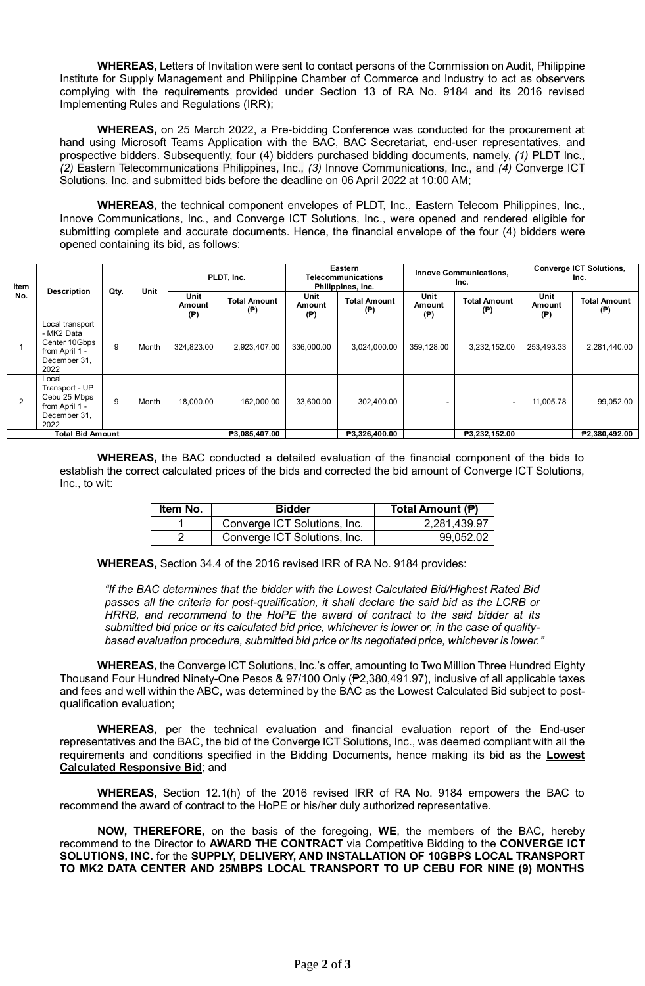**WHEREAS,** Letters of Invitation were sent to contact persons of the Commission on Audit, Philippine Institute for Supply Management and Philippine Chamber of Commerce and Industry to act as observers complying with the requirements provided under Section 13 of RA No. 9184 and its 2016 revised Implementing Rules and Regulations (IRR);

**WHEREAS,** on 25 March 2022, a Pre-bidding Conference was conducted for the procurement at hand using Microsoft Teams Application with the BAC, BAC Secretariat, end-user representatives, and prospective bidders. Subsequently, four (4) bidders purchased bidding documents, namely, *(1)* PLDT Inc., *(2)* Eastern Telecommunications Philippines, Inc., *(3)* Innove Communications, Inc., and *(4)* Converge ICT Solutions. Inc. and submitted bids before the deadline on 06 April 2022 at 10:00 AM;

**WHEREAS,** the technical component envelopes of PLDT, Inc., Eastern Telecom Philippines, Inc., Innove Communications, Inc., and Converge ICT Solutions, Inc., were opened and rendered eligible for submitting complete and accurate documents. Hence, the financial envelope of the four (4) bidders were opened containing its bid, as follows:

| Item<br>No.             | <b>Description</b>                                                                       | Qty. | <b>Unit</b>   | PLDT, Inc.            |                            | Eastern<br>Telecommunications<br>Philippines, Inc. |                            | <b>Innove Communications,</b><br>Inc. |                            | <b>Converge ICT Solutions,</b><br>Inc. |                            |
|-------------------------|------------------------------------------------------------------------------------------|------|---------------|-----------------------|----------------------------|----------------------------------------------------|----------------------------|---------------------------------------|----------------------------|----------------------------------------|----------------------------|
|                         |                                                                                          |      |               | Unit<br>Amount<br>(P) | <b>Total Amount</b><br>(P) | Unit<br>Amount<br>(P)                              | <b>Total Amount</b><br>(P) | Unit<br>Amount<br>(P)                 | <b>Total Amount</b><br>(P) | Unit<br>Amount<br>(P)                  | <b>Total Amount</b><br>(P) |
|                         | Local transport<br>- MK2 Data<br>Center 10Gbps<br>from April 1 -<br>December 31,<br>2022 | 9    | Month         | 324,823.00            | 2,923,407.00               | 336,000.00                                         | 3,024,000.00               | 359,128.00                            | 3,232,152.00               | 253,493.33                             | 2,281,440.00               |
| 2                       | Local<br>Transport - UP<br>Cebu 25 Mbps<br>from April 1 -<br>December 31,<br>2022        | 9    | Month         | 18.000.00             | 162.000.00                 | 33.600.00                                          | 302,400.00                 |                                       |                            | 11.005.78                              | 99,052.00                  |
| <b>Total Bid Amount</b> |                                                                                          |      | ₱3,085,407.00 |                       | ₱3,326,400.00              |                                                    | ₱3,232,152.00              |                                       | ₱2,380,492.00              |                                        |                            |

**WHEREAS,** the BAC conducted a detailed evaluation of the financial component of the bids to establish the correct calculated prices of the bids and corrected the bid amount of Converge ICT Solutions, Inc., to wit:

| Item No. | <b>Bidder</b>                | Total Amount (P) |
|----------|------------------------------|------------------|
|          | Converge ICT Solutions, Inc. | 2,281,439.97     |
|          | Converge ICT Solutions, Inc. | 99,052.02        |

**WHEREAS,** Section 34.4 of the 2016 revised IRR of RA No. 9184 provides:

*"If the BAC determines that the bidder with the Lowest Calculated Bid/Highest Rated Bid passes all the criteria for post-qualification, it shall declare the said bid as the LCRB or HRRB, and recommend to the HoPE the award of contract to the said bidder at its submitted bid price or its calculated bid price, whichever is lower or, in the case of qualitybased evaluation procedure, submitted bid price or its negotiated price, whichever is lower."*

**WHEREAS,** the Converge ICT Solutions, Inc.'s offer, amounting to Two Million Three Hundred Eighty Thousand Four Hundred Ninety-One Pesos & 97/100 Only (₱2,380,491.97), inclusive of all applicable taxes and fees and well within the ABC, was determined by the BAC as the Lowest Calculated Bid subject to postqualification evaluation;

**WHEREAS,** per the technical evaluation and financial evaluation report of the End-user representatives and the BAC, the bid of the Converge ICT Solutions, Inc., was deemed compliant with all the requirements and conditions specified in the Bidding Documents, hence making its bid as the **Lowest Calculated Responsive Bid**; and

**WHEREAS,** Section 12.1(h) of the 2016 revised IRR of RA No. 9184 empowers the BAC to recommend the award of contract to the HoPE or his/her duly authorized representative.

**NOW, THEREFORE,** on the basis of the foregoing, **WE**, the members of the BAC, hereby recommend to the Director to **AWARD THE CONTRACT** via Competitive Bidding to the **CONVERGE ICT SOLUTIONS, INC.** for the **SUPPLY, DELIVERY, AND INSTALLATION OF 10GBPS LOCAL TRANSPORT TO MK2 DATA CENTER AND 25MBPS LOCAL TRANSPORT TO UP CEBU FOR NINE (9) MONTHS**